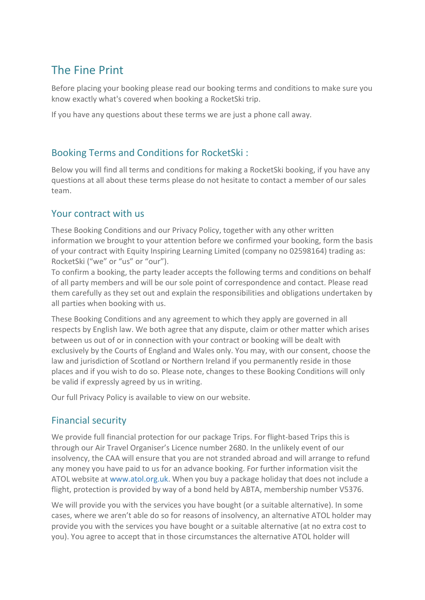# The Fine Print

Before placing your booking please read our booking terms and conditions to make sure you know exactly what's covered when booking a RocketSki trip.

If you have any questions about these terms we are just a phone call away.

### Booking Terms and Conditions for RocketSki :

Below you will find all terms and conditions for making a RocketSki booking, if you have any questions at all about these terms please do not hesitate to contact a member of our sales team.

### Your contract with us

These Booking Conditions and our Privacy Policy, together with any other written information we brought to your attention before we confirmed your booking, form the basis of your contract with Equity Inspiring Learning Limited (company no 02598164) trading as: RocketSki ("we" or "us" or "our").

To confirm a booking, the party leader accepts the following terms and conditions on behalf of all party members and will be our sole point of correspondence and contact. Please read them carefully as they set out and explain the responsibilities and obligations undertaken by all parties when booking with us.

These Booking Conditions and any agreement to which they apply are governed in all respects by English law. We both agree that any dispute, claim or other matter which arises between us out of or in connection with your contract or booking will be dealt with exclusively by the Courts of England and Wales only. You may, with our consent, choose the law and jurisdiction of Scotland or Northern Ireland if you permanently reside in those places and if you wish to do so. Please note, changes to these Booking Conditions will only be valid if expressly agreed by us in writing.

Our full Privacy Policy is available to view on our website.

### Financial security

We provide full financial protection for our package Trips. For flight-based Trips this is through our Air Travel Organiser's Licence number 2680. In the unlikely event of our insolvency, the CAA will ensure that you are not stranded abroad and will arrange to refund any money you have paid to us for an advance booking. For further information visit the ATOL website at [www.atol.org.uk.](http://www.atol.org.uk/) When you buy a package holiday that does not include a flight, protection is provided by way of a bond held by ABTA, membership number V5376.

We will provide you with the services you have bought (or a suitable alternative). In some cases, where we aren't able do so for reasons of insolvency, an alternative ATOL holder may provide you with the services you have bought or a suitable alternative (at no extra cost to you). You agree to accept that in those circumstances the alternative ATOL holder will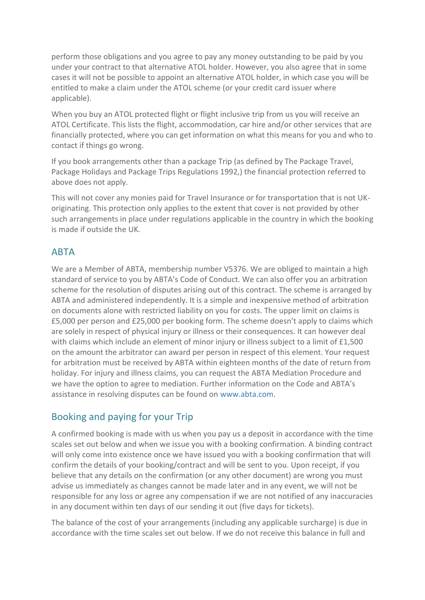perform those obligations and you agree to pay any money outstanding to be paid by you under your contract to that alternative ATOL holder. However, you also agree that in some cases it will not be possible to appoint an alternative ATOL holder, in which case you will be entitled to make a claim under the ATOL scheme (or your credit card issuer where applicable).

When you buy an ATOL protected flight or flight inclusive trip from us you will receive an ATOL Certificate. This lists the flight, accommodation, car hire and/or other services that are financially protected, where you can get information on what this means for you and who to contact if things go wrong.

If you book arrangements other than a package Trip (as defined by The Package Travel, Package Holidays and Package Trips Regulations 1992,) the financial protection referred to above does not apply.

This will not cover any monies paid for Travel Insurance or for transportation that is not UKoriginating. This protection only applies to the extent that cover is not provided by other such arrangements in place under regulations applicable in the country in which the booking is made if outside the UK.

### **ABTA**

We are a Member of ABTA, membership number V5376. We are obliged to maintain a high standard of service to you by ABTA's Code of Conduct. We can also offer you an arbitration scheme for the resolution of disputes arising out of this contract. The scheme is arranged by ABTA and administered independently. It is a simple and inexpensive method of arbitration on documents alone with restricted liability on you for costs. The upper limit on claims is £5,000 per person and £25,000 per booking form. The scheme doesn't apply to claims which are solely in respect of physical injury or illness or their consequences. It can however deal with claims which include an element of minor injury or illness subject to a limit of £1,500 on the amount the arbitrator can award per person in respect of this element. Your request for arbitration must be received by ABTA within eighteen months of the date of return from holiday. For injury and illness claims, you can request the ABTA Mediation Procedure and we have the option to agree to mediation. Further information on the Code and ABTA's assistance in resolving disputes can be found on [www.abta.com.](http://www.abta.com/)

## Booking and paying for your Trip

A confirmed booking is made with us when you pay us a deposit in accordance with the time scales set out below and when we issue you with a booking confirmation. A binding contract will only come into existence once we have issued you with a booking confirmation that will confirm the details of your booking/contract and will be sent to you. Upon receipt, if you believe that any details on the confirmation (or any other document) are wrong you must advise us immediately as changes cannot be made later and in any event, we will not be responsible for any loss or agree any compensation if we are not notified of any inaccuracies in any document within ten days of our sending it out (five days for tickets).

The balance of the cost of your arrangements (including any applicable surcharge) is due in accordance with the time scales set out below. If we do not receive this balance in full and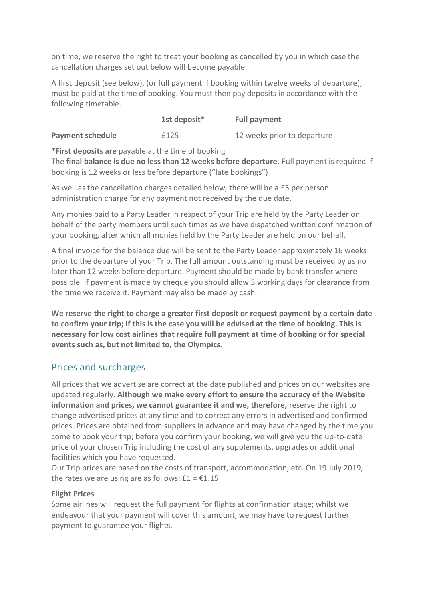on time, we reserve the right to treat your booking as cancelled by you in which case the cancellation charges set out below will become payable.

A first deposit (see below), (or full payment if booking within twelve weeks of departure), must be paid at the time of booking. You must then pay deposits in accordance with the following timetable.

|                         | 1st deposit* | <b>Full payment</b>         |
|-------------------------|--------------|-----------------------------|
| <b>Payment schedule</b> | £125         | 12 weeks prior to departure |

\***First deposits are** payable at the time of booking

The **final balance is due no less than 12 weeks before departure.** Full payment is required if booking is 12 weeks or less before departure ("late bookings")

As well as the cancellation charges detailed below, there will be a £5 per person administration charge for any payment not received by the due date.

Any monies paid to a Party Leader in respect of your Trip are held by the Party Leader on behalf of the party members until such times as we have dispatched written confirmation of your booking, after which all monies held by the Party Leader are held on our behalf.

A final invoice for the balance due will be sent to the Party Leader approximately 16 weeks prior to the departure of your Trip. The full amount outstanding must be received by us no later than 12 weeks before departure. Payment should be made by bank transfer where possible. If payment is made by cheque you should allow 5 working days for clearance from the time we receive it. Payment may also be made by cash.

**We reserve the right to charge a greater first deposit or request payment by a certain date to confirm your trip; if this is the case you will be advised at the time of booking. This is necessary for low cost airlines that require full payment at time of booking or for special events such as, but not limited to, the Olympics.**

### Prices and surcharges

All prices that we advertise are correct at the date published and prices on our websites are updated regularly. **Although we make every effort to ensure the accuracy of the Website information and prices, we cannot guarantee it and we, therefore,** reserve the right to change advertised prices at any time and to correct any errors in advertised and confirmed prices. Prices are obtained from suppliers in advance and may have changed by the time you come to book your trip; before you confirm your booking, we will give you the up-to-date price of your chosen Trip including the cost of any supplements, upgrades or additional facilities which you have requested.

Our Trip prices are based on the costs of transport, accommodation, etc. On 19 July 2019, the rates we are using are as follows:  $£1 = £1.15$ 

#### **Flight Prices**

Some airlines will request the full payment for flights at confirmation stage; whilst we endeavour that your payment will cover this amount, we may have to request further payment to guarantee your flights.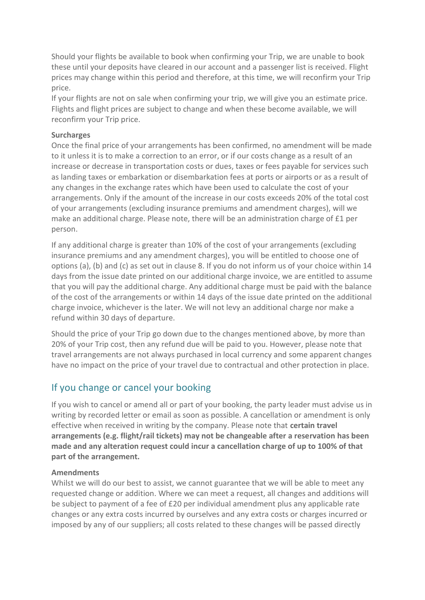Should your flights be available to book when confirming your Trip, we are unable to book these until your deposits have cleared in our account and a passenger list is received. Flight prices may change within this period and therefore, at this time, we will reconfirm your Trip price.

If your flights are not on sale when confirming your trip, we will give you an estimate price. Flights and flight prices are subject to change and when these become available, we will reconfirm your Trip price.

#### **Surcharges**

Once the final price of your arrangements has been confirmed, no amendment will be made to it unless it is to make a correction to an error, or if our costs change as a result of an increase or decrease in transportation costs or dues, taxes or fees payable for services such as landing taxes or embarkation or disembarkation fees at ports or airports or as a result of any changes in the exchange rates which have been used to calculate the cost of your arrangements. Only if the amount of the increase in our costs exceeds 20% of the total cost of your arrangements (excluding insurance premiums and amendment charges), will we make an additional charge. Please note, there will be an administration charge of £1 per person.

If any additional charge is greater than 10% of the cost of your arrangements (excluding insurance premiums and any amendment charges), you will be entitled to choose one of options (a), (b) and (c) as set out in clause 8. If you do not inform us of your choice within 14 days from the issue date printed on our additional charge invoice, we are entitled to assume that you will pay the additional charge. Any additional charge must be paid with the balance of the cost of the arrangements or within 14 days of the issue date printed on the additional charge invoice, whichever is the later. We will not levy an additional charge nor make a refund within 30 days of departure.

Should the price of your Trip go down due to the changes mentioned above, by more than 20% of your Trip cost, then any refund due will be paid to you. However, please note that travel arrangements are not always purchased in local currency and some apparent changes have no impact on the price of your travel due to contractual and other protection in place.

### If you change or cancel your booking

If you wish to cancel or amend all or part of your booking, the party leader must advise us in writing by recorded letter or email as soon as possible. A cancellation or amendment is only effective when received in writing by the company. Please note that **certain travel arrangements (e.g. flight/rail tickets) may not be changeable after a reservation has been made and any alteration request could incur a cancellation charge of up to 100% of that part of the arrangement.**

#### **Amendments**

Whilst we will do our best to assist, we cannot guarantee that we will be able to meet any requested change or addition. Where we can meet a request, all changes and additions will be subject to payment of a fee of £20 per individual amendment plus any applicable rate changes or any extra costs incurred by ourselves and any extra costs or charges incurred or imposed by any of our suppliers; all costs related to these changes will be passed directly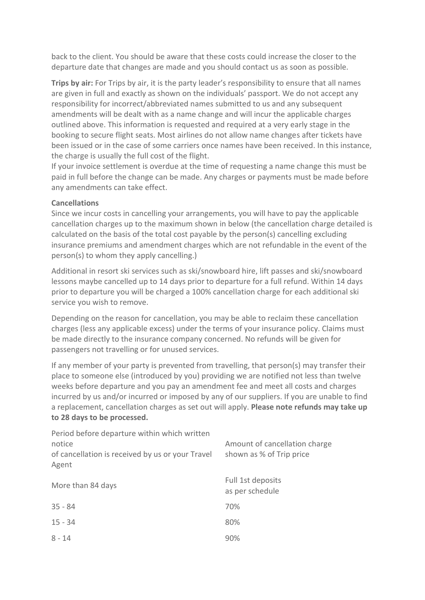back to the client. You should be aware that these costs could increase the closer to the departure date that changes are made and you should contact us as soon as possible.

**Trips by air:** For Trips by air, it is the party leader's responsibility to ensure that all names are given in full and exactly as shown on the individuals' passport. We do not accept any responsibility for incorrect/abbreviated names submitted to us and any subsequent amendments will be dealt with as a name change and will incur the applicable charges outlined above. This information is requested and required at a very early stage in the booking to secure flight seats. Most airlines do not allow name changes after tickets have been issued or in the case of some carriers once names have been received. In this instance, the charge is usually the full cost of the flight.

If your invoice settlement is overdue at the time of requesting a name change this must be paid in full before the change can be made. Any charges or payments must be made before any amendments can take effect.

#### **Cancellations**

Since we incur costs in cancelling your arrangements, you will have to pay the applicable cancellation charges up to the maximum shown in below (the cancellation charge detailed is calculated on the basis of the total cost payable by the person(s) cancelling excluding insurance premiums and amendment charges which are not refundable in the event of the person(s) to whom they apply cancelling.)

Additional in resort ski services such as ski/snowboard hire, lift passes and ski/snowboard lessons maybe cancelled up to 14 days prior to departure for a full refund. Within 14 days prior to departure you will be charged a 100% cancellation charge for each additional ski service you wish to remove.

Depending on the reason for cancellation, you may be able to reclaim these cancellation charges (less any applicable excess) under the terms of your insurance policy. Claims must be made directly to the insurance company concerned. No refunds will be given for passengers not travelling or for unused services.

If any member of your party is prevented from travelling, that person(s) may transfer their place to someone else (introduced by you) providing we are notified not less than twelve weeks before departure and you pay an amendment fee and meet all costs and charges incurred by us and/or incurred or imposed by any of our suppliers. If you are unable to find a replacement, cancellation charges as set out will apply. **Please note refunds may take up to 28 days to be processed.**

| Period before departure within which written<br>notice<br>of cancellation is received by us or your Travel<br>Agent | Amount of cancellation charge<br>shown as % of Trip price |
|---------------------------------------------------------------------------------------------------------------------|-----------------------------------------------------------|
| More than 84 days                                                                                                   | Full 1st deposits<br>as per schedule                      |
| $35 - 84$                                                                                                           | 70%                                                       |
| $15 - 34$                                                                                                           | 80%                                                       |
| $8 - 14$                                                                                                            | 90%                                                       |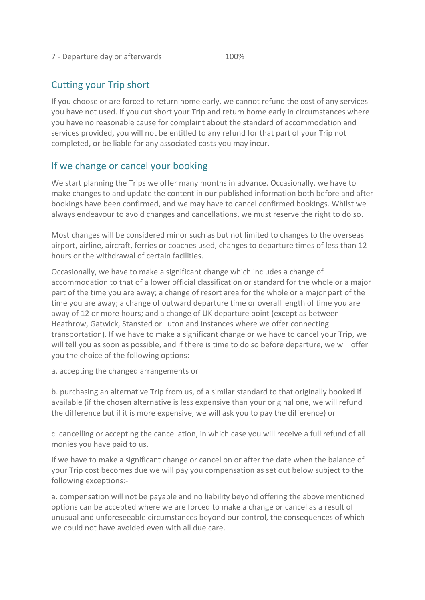#### 7 - Departure day or afterwards 100%

### Cutting your Trip short

If you choose or are forced to return home early, we cannot refund the cost of any services you have not used. If you cut short your Trip and return home early in circumstances where you have no reasonable cause for complaint about the standard of accommodation and services provided, you will not be entitled to any refund for that part of your Trip not completed, or be liable for any associated costs you may incur.

### If we change or cancel your booking

We start planning the Trips we offer many months in advance. Occasionally, we have to make changes to and update the content in our published information both before and after bookings have been confirmed, and we may have to cancel confirmed bookings. Whilst we always endeavour to avoid changes and cancellations, we must reserve the right to do so.

Most changes will be considered minor such as but not limited to changes to the overseas airport, airline, aircraft, ferries or coaches used, changes to departure times of less than 12 hours or the withdrawal of certain facilities.

Occasionally, we have to make a significant change which includes a change of accommodation to that of a lower official classification or standard for the whole or a major part of the time you are away; a change of resort area for the whole or a major part of the time you are away; a change of outward departure time or overall length of time you are away of 12 or more hours; and a change of UK departure point (except as between Heathrow, Gatwick, Stansted or Luton and instances where we offer connecting transportation). If we have to make a significant change or we have to cancel your Trip, we will tell you as soon as possible, and if there is time to do so before departure, we will offer you the choice of the following options:-

a. accepting the changed arrangements or

b. purchasing an alternative Trip from us, of a similar standard to that originally booked if available (if the chosen alternative is less expensive than your original one, we will refund the difference but if it is more expensive, we will ask you to pay the difference) or

c. cancelling or accepting the cancellation, in which case you will receive a full refund of all monies you have paid to us.

If we have to make a significant change or cancel on or after the date when the balance of your Trip cost becomes due we will pay you compensation as set out below subject to the following exceptions:-

a. compensation will not be payable and no liability beyond offering the above mentioned options can be accepted where we are forced to make a change or cancel as a result of unusual and unforeseeable circumstances beyond our control, the consequences of which we could not have avoided even with all due care.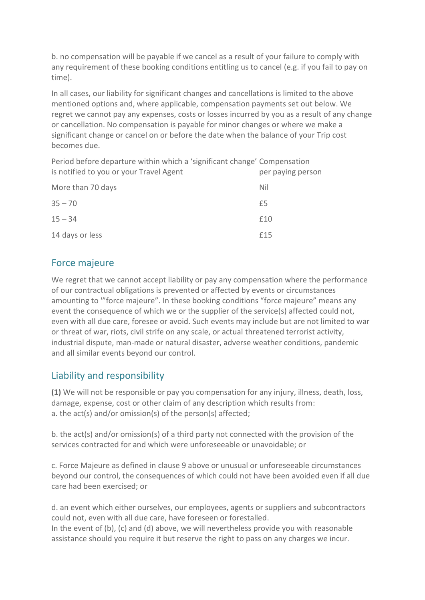b. no compensation will be payable if we cancel as a result of your failure to comply with any requirement of these booking conditions entitling us to cancel (e.g. if you fail to pay on time).

In all cases, our liability for significant changes and cancellations is limited to the above mentioned options and, where applicable, compensation payments set out below. We regret we cannot pay any expenses, costs or losses incurred by you as a result of any change or cancellation. No compensation is payable for minor changes or where we make a significant change or cancel on or before the date when the balance of your Trip cost becomes due.

Period before departure within which a 'significant change' Compensation is notified to you or your Travel Agent per paying person

|                   | $\mathbf{r} = \mathbf{r} + \mathbf{r} + \mathbf{r} + \mathbf{r}$ . The set of $\mathbf{r} = \mathbf{r} + \mathbf{r}$ |
|-------------------|----------------------------------------------------------------------------------------------------------------------|
| More than 70 days | Nil                                                                                                                  |
| $35 - 70$         | £5                                                                                                                   |
| $15 - 34$         | £10                                                                                                                  |
| 14 days or less   | £15                                                                                                                  |

### Force majeure

We regret that we cannot accept liability or pay any compensation where the performance of our contractual obligations is prevented or affected by events or circumstances amounting to '"force majeure". In these booking conditions "force majeure" means any event the consequence of which we or the supplier of the service(s) affected could not, even with all due care, foresee or avoid. Such events may include but are not limited to war or threat of war, riots, civil strife on any scale, or actual threatened terrorist activity, industrial dispute, man-made or natural disaster, adverse weather conditions, pandemic and all similar events beyond our control.

### Liability and responsibility

**(1)** We will not be responsible or pay you compensation for any injury, illness, death, loss, damage, expense, cost or other claim of any description which results from: a. the act(s) and/or omission(s) of the person(s) affected;

b. the act(s) and/or omission(s) of a third party not connected with the provision of the services contracted for and which were unforeseeable or unavoidable; or

c. Force Majeure as defined in clause 9 above or unusual or unforeseeable circumstances beyond our control, the consequences of which could not have been avoided even if all due care had been exercised; or

d. an event which either ourselves, our employees, agents or suppliers and subcontractors could not, even with all due care, have foreseen or forestalled.

In the event of (b), (c) and (d) above, we will nevertheless provide you with reasonable assistance should you require it but reserve the right to pass on any charges we incur.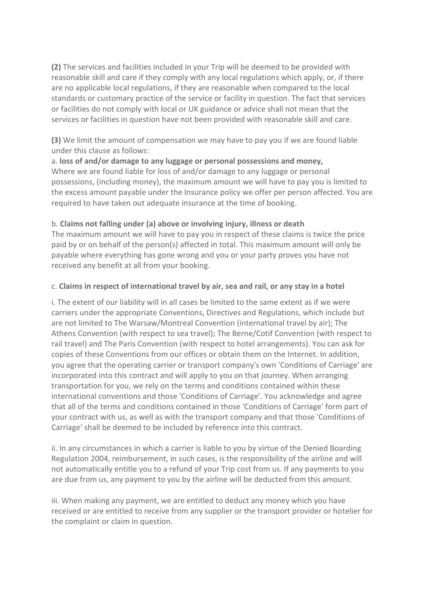**(2)** The services and facilities included in your Trip will be deemed to be provided with reasonable skill and care if they comply with any local regulations which apply, or, if there are no applicable local regulations, if they are reasonable when compared to the local standards or customary practice of the service or facility in question. The fact that services or facilities do not comply with local or UK guidance or advice shall not mean that the services or facilities in question have not been provided with reasonable skill and care.

**(3)** We limit the amount of compensation we may have to pay you if we are found liable under this clause as follows:

a. **loss of and/or damage to any luggage or personal possessions and money,** Where we are found liable for loss of and/or damage to any luggage or personal possessions, (including money), the maximum amount we will have to pay you is limited to the excess amount payable under the Insurance policy we offer per person affected. You are required to have taken out adequate insurance at the time of booking.

#### b. **Claims not falling under (a) above or involving injury, illness or death**

The maximum amount we will have to pay you in respect of these claims is twice the price paid by or on behalf of the person(s) affected in total. This maximum amount will only be payable where everything has gone wrong and you or your party proves you have not received any benefit at all from your booking.

#### c. **Claims in respect of international travel by air, sea and rail, or any stay in a hotel**

i. The extent of our liability will in all cases be limited to the same extent as if we were carriers under the appropriate Conventions, Directives and Regulations, which include but are not limited to The Warsaw/Montreal Convention (international travel by air); The Athens Convention (with respect to sea travel); The Berne/Cotif Convention (with respect to rail travel) and The Paris Convention (with respect to hotel arrangements). You can ask for copies of these Conventions from our offices or obtain them on the Internet. In addition, you agree that the operating carrier or transport company's own 'Conditions of Carriage' are incorporated into this contract and will apply to you on that journey. When arranging transportation for you, we rely on the terms and conditions contained within these international conventions and those 'Conditions of Carriage'. You acknowledge and agree that all of the terms and conditions contained in those 'Conditions of Carriage' form part of your contract with us, as well as with the transport company and that those 'Conditions of Carriage' shall be deemed to be included by reference into this contract.

ii. In any circumstances in which a carrier is liable to you by virtue of the Denied Boarding Regulation 2004, reimbursement, in such cases, is the responsibility of the airline and will not automatically entitle you to a refund of your Trip cost from us. If any payments to you are due from us, any payment to you by the airline will be deducted from this amount.

iii. When making any payment, we are entitled to deduct any money which you have received or are entitled to receive from any supplier or the transport provider or hotelier for the complaint or claim in question.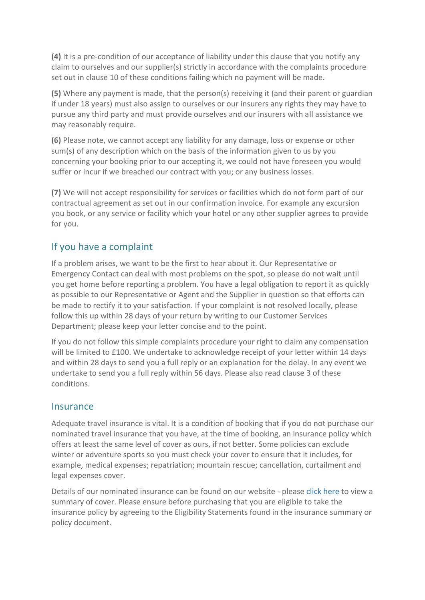**(4)** It is a pre-condition of our acceptance of liability under this clause that you notify any claim to ourselves and our supplier(s) strictly in accordance with the complaints procedure set out in clause 10 of these conditions failing which no payment will be made.

**(5)** Where any payment is made, that the person(s) receiving it (and their parent or guardian if under 18 years) must also assign to ourselves or our insurers any rights they may have to pursue any third party and must provide ourselves and our insurers with all assistance we may reasonably require.

**(6)** Please note, we cannot accept any liability for any damage, loss or expense or other sum(s) of any description which on the basis of the information given to us by you concerning your booking prior to our accepting it, we could not have foreseen you would suffer or incur if we breached our contract with you; or any business losses.

**(7)** We will not accept responsibility for services or facilities which do not form part of our contractual agreement as set out in our confirmation invoice. For example any excursion you book, or any service or facility which your hotel or any other supplier agrees to provide for you.

### If you have a complaint

If a problem arises, we want to be the first to hear about it. Our Representative or Emergency Contact can deal with most problems on the spot, so please do not wait until you get home before reporting a problem. You have a legal obligation to report it as quickly as possible to our Representative or Agent and the Supplier in question so that efforts can be made to rectify it to your satisfaction. If your complaint is not resolved locally, please follow this up within 28 days of your return by writing to our Customer Services Department; please keep your letter concise and to the point.

If you do not follow this simple complaints procedure your right to claim any compensation will be limited to £100. We undertake to acknowledge receipt of your letter within 14 days and within 28 days to send you a full reply or an explanation for the delay. In any event we undertake to send you a full reply within 56 days. Please also read clause 3 of these conditions.

#### Insurance

Adequate travel insurance is vital. It is a condition of booking that if you do not purchase our nominated travel insurance that you have, at the time of booking, an insurance policy which offers at least the same level of cover as ours, if not better. Some policies can exclude winter or adventure sports so you must check your cover to ensure that it includes, for example, medical expenses; repatriation; mountain rescue; cancellation, curtailment and legal expenses cover.

Details of our nominated insurance can be found on our website - please [click here](http://www.rocketski.com/insurance) to view a summary of cover. Please ensure before purchasing that you are eligible to take the insurance policy by agreeing to the Eligibility Statements found in the insurance summary or policy document.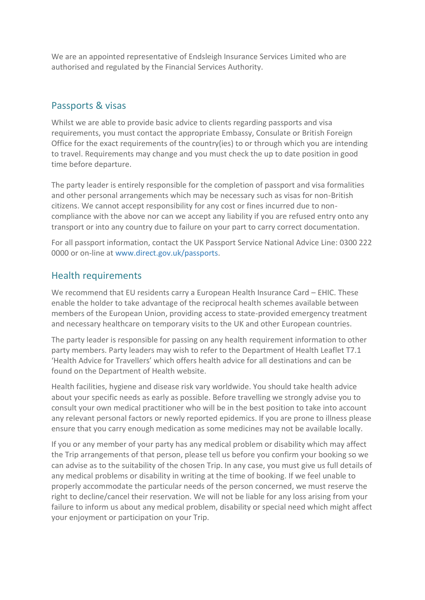We are an appointed representative of Endsleigh Insurance Services Limited who are authorised and regulated by the Financial Services Authority.

### Passports & visas

Whilst we are able to provide basic advice to clients regarding passports and visa requirements, you must contact the appropriate Embassy, Consulate or British Foreign Office for the exact requirements of the country(ies) to or through which you are intending to travel. Requirements may change and you must check the up to date position in good time before departure.

The party leader is entirely responsible for the completion of passport and visa formalities and other personal arrangements which may be necessary such as visas for non-British citizens. We cannot accept responsibility for any cost or fines incurred due to noncompliance with the above nor can we accept any liability if you are refused entry onto any transport or into any country due to failure on your part to carry correct documentation.

For all passport information, contact the UK Passport Service National Advice Line: 0300 222 0000 or on-line at [www.direct.gov.uk/passports.](http://www.direct.gov.uk/passports)

### Health requirements

We recommend that EU residents carry a European Health Insurance Card – EHIC. These enable the holder to take advantage of the reciprocal health schemes available between members of the European Union, providing access to state-provided emergency treatment and necessary healthcare on temporary visits to the UK and other European countries.

The party leader is responsible for passing on any health requirement information to other party members. Party leaders may wish to refer to the Department of Health Leaflet T7.1 'Health Advice for Travellers' which offers health advice for all destinations and can be found on the Department of Health website.

Health facilities, hygiene and disease risk vary worldwide. You should take health advice about your specific needs as early as possible. Before travelling we strongly advise you to consult your own medical practitioner who will be in the best position to take into account any relevant personal factors or newly reported epidemics. If you are prone to illness please ensure that you carry enough medication as some medicines may not be available locally.

If you or any member of your party has any medical problem or disability which may affect the Trip arrangements of that person, please tell us before you confirm your booking so we can advise as to the suitability of the chosen Trip. In any case, you must give us full details of any medical problems or disability in writing at the time of booking. If we feel unable to properly accommodate the particular needs of the person concerned, we must reserve the right to decline/cancel their reservation. We will not be liable for any loss arising from your failure to inform us about any medical problem, disability or special need which might affect your enjoyment or participation on your Trip.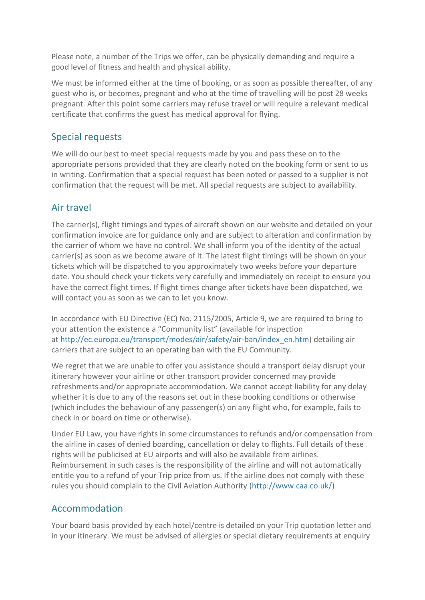Please note, a number of the Trips we offer, can be physically demanding and require a good level of fitness and health and physical ability.

We must be informed either at the time of booking, or as soon as possible thereafter, of any guest who is, or becomes, pregnant and who at the time of travelling will be post 28 weeks pregnant. After this point some carriers may refuse travel or will require a relevant medical certificate that confirms the guest has medical approval for flying.

### Special requests

We will do our best to meet special requests made by you and pass these on to the appropriate persons provided that they are clearly noted on the booking form or sent to us in writing. Confirmation that a special request has been noted or passed to a supplier is not confirmation that the request will be met. All special requests are subject to availability.

### Air travel

The carrier(s), flight timings and types of aircraft shown on our website and detailed on your confirmation invoice are for guidance only and are subject to alteration and confirmation by the carrier of whom we have no control. We shall inform you of the identity of the actual carrier(s) as soon as we become aware of it. The latest flight timings will be shown on your tickets which will be dispatched to you approximately two weeks before your departure date. You should check your tickets very carefully and immediately on receipt to ensure you have the correct flight times. If flight times change after tickets have been dispatched, we will contact you as soon as we can to let you know.

In accordance with EU Directive (EC) No. 2115/2005, Article 9, we are required to bring to your attention the existence a "Community list" (available for inspection at [http://ec.europa.eu/transport/modes/air/safety/air-ban/index\\_en.htm\)](http://ec.europa.eu/transport/modes/air/safety/air-ban/index_en.htm) detailing air carriers that are subject to an operating ban with the EU Community.

We regret that we are unable to offer you assistance should a transport delay disrupt your itinerary however your airline or other transport provider concerned may provide refreshments and/or appropriate accommodation. We cannot accept liability for any delay whether it is due to any of the reasons set out in these booking conditions or otherwise (which includes the behaviour of any passenger(s) on any flight who, for example, fails to check in or board on time or otherwise).

Under EU Law, you have rights in some circumstances to refunds and/or compensation from the airline in cases of denied boarding, cancellation or delay to flights. Full details of these rights will be publicised at EU airports and will also be available from airlines. Reimbursement in such cases is the responsibility of the airline and will not automatically entitle you to a refund of your Trip price from us. If the airline does not comply with these rules you should complain to the Civil Aviation Authority [\(http://www.caa.co.uk/\)](http://www.caa.co.uk/default.aspx?catid=2226&pagetype=90)

### Accommodation

Your board basis provided by each hotel/centre is detailed on your Trip quotation letter and in your itinerary. We must be advised of allergies or special dietary requirements at enquiry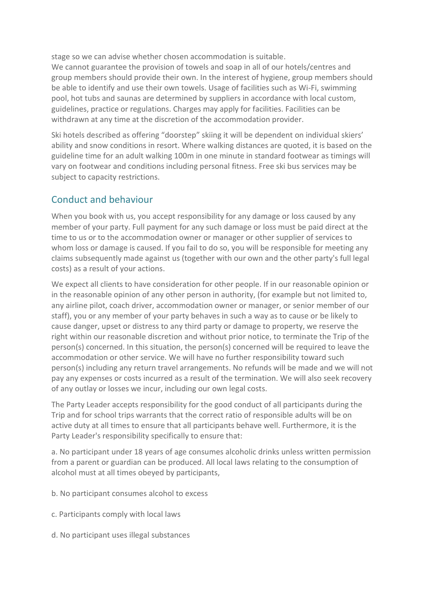stage so we can advise whether chosen accommodation is suitable. We cannot guarantee the provision of towels and soap in all of our hotels/centres and group members should provide their own. In the interest of hygiene, group members should be able to identify and use their own towels. Usage of facilities such as Wi-Fi, swimming

pool, hot tubs and saunas are determined by suppliers in accordance with local custom, guidelines, practice or regulations. Charges may apply for facilities. Facilities can be withdrawn at any time at the discretion of the accommodation provider.

Ski hotels described as offering "doorstep" skiing it will be dependent on individual skiers' ability and snow conditions in resort. Where walking distances are quoted, it is based on the guideline time for an adult walking 100m in one minute in standard footwear as timings will vary on footwear and conditions including personal fitness. Free ski bus services may be subject to capacity restrictions.

### Conduct and behaviour

When you book with us, you accept responsibility for any damage or loss caused by any member of your party. Full payment for any such damage or loss must be paid direct at the time to us or to the accommodation owner or manager or other supplier of services to whom loss or damage is caused. If you fail to do so, you will be responsible for meeting any claims subsequently made against us (together with our own and the other party's full legal costs) as a result of your actions.

We expect all clients to have consideration for other people. If in our reasonable opinion or in the reasonable opinion of any other person in authority, (for example but not limited to, any airline pilot, coach driver, accommodation owner or manager, or senior member of our staff), you or any member of your party behaves in such a way as to cause or be likely to cause danger, upset or distress to any third party or damage to property, we reserve the right within our reasonable discretion and without prior notice, to terminate the Trip of the person(s) concerned. In this situation, the person(s) concerned will be required to leave the accommodation or other service. We will have no further responsibility toward such person(s) including any return travel arrangements. No refunds will be made and we will not pay any expenses or costs incurred as a result of the termination. We will also seek recovery of any outlay or losses we incur, including our own legal costs.

The Party Leader accepts responsibility for the good conduct of all participants during the Trip and for school trips warrants that the correct ratio of responsible adults will be on active duty at all times to ensure that all participants behave well. Furthermore, it is the Party Leader's responsibility specifically to ensure that:

a. No participant under 18 years of age consumes alcoholic drinks unless written permission from a parent or guardian can be produced. All local laws relating to the consumption of alcohol must at all times obeyed by participants,

- b. No participant consumes alcohol to excess
- c. Participants comply with local laws
- d. No participant uses illegal substances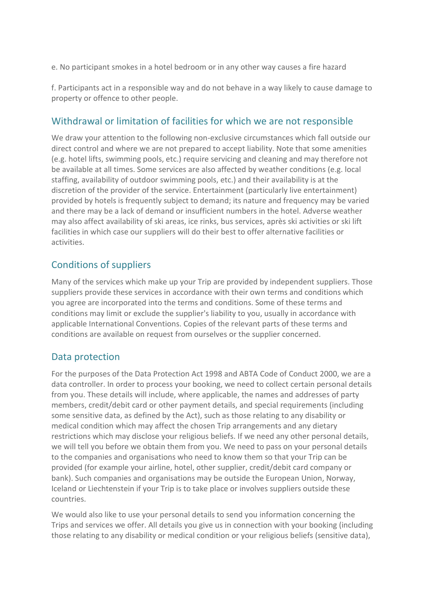e. No participant smokes in a hotel bedroom or in any other way causes a fire hazard

f. Participants act in a responsible way and do not behave in a way likely to cause damage to property or offence to other people.

### Withdrawal or limitation of facilities for which we are not responsible

We draw your attention to the following non-exclusive circumstances which fall outside our direct control and where we are not prepared to accept liability. Note that some amenities (e.g. hotel lifts, swimming pools, etc.) require servicing and cleaning and may therefore not be available at all times. Some services are also affected by weather conditions (e.g. local staffing, availability of outdoor swimming pools, etc.) and their availability is at the discretion of the provider of the service. Entertainment (particularly live entertainment) provided by hotels is frequently subject to demand; its nature and frequency may be varied and there may be a lack of demand or insufficient numbers in the hotel. Adverse weather may also affect availability of ski areas, ice rinks, bus services, après ski activities or ski lift facilities in which case our suppliers will do their best to offer alternative facilities or activities.

### Conditions of suppliers

Many of the services which make up your Trip are provided by independent suppliers. Those suppliers provide these services in accordance with their own terms and conditions which you agree are incorporated into the terms and conditions. Some of these terms and conditions may limit or exclude the supplier's liability to you, usually in accordance with applicable International Conventions. Copies of the relevant parts of these terms and conditions are available on request from ourselves or the supplier concerned.

### Data protection

For the purposes of the Data Protection Act 1998 and ABTA Code of Conduct 2000, we are a data controller. In order to process your booking, we need to collect certain personal details from you. These details will include, where applicable, the names and addresses of party members, credit/debit card or other payment details, and special requirements (including some sensitive data, as defined by the Act), such as those relating to any disability or medical condition which may affect the chosen Trip arrangements and any dietary restrictions which may disclose your religious beliefs. If we need any other personal details, we will tell you before we obtain them from you. We need to pass on your personal details to the companies and organisations who need to know them so that your Trip can be provided (for example your airline, hotel, other supplier, credit/debit card company or bank). Such companies and organisations may be outside the European Union, Norway, Iceland or Liechtenstein if your Trip is to take place or involves suppliers outside these countries.

We would also like to use your personal details to send you information concerning the Trips and services we offer. All details you give us in connection with your booking (including those relating to any disability or medical condition or your religious beliefs (sensitive data),